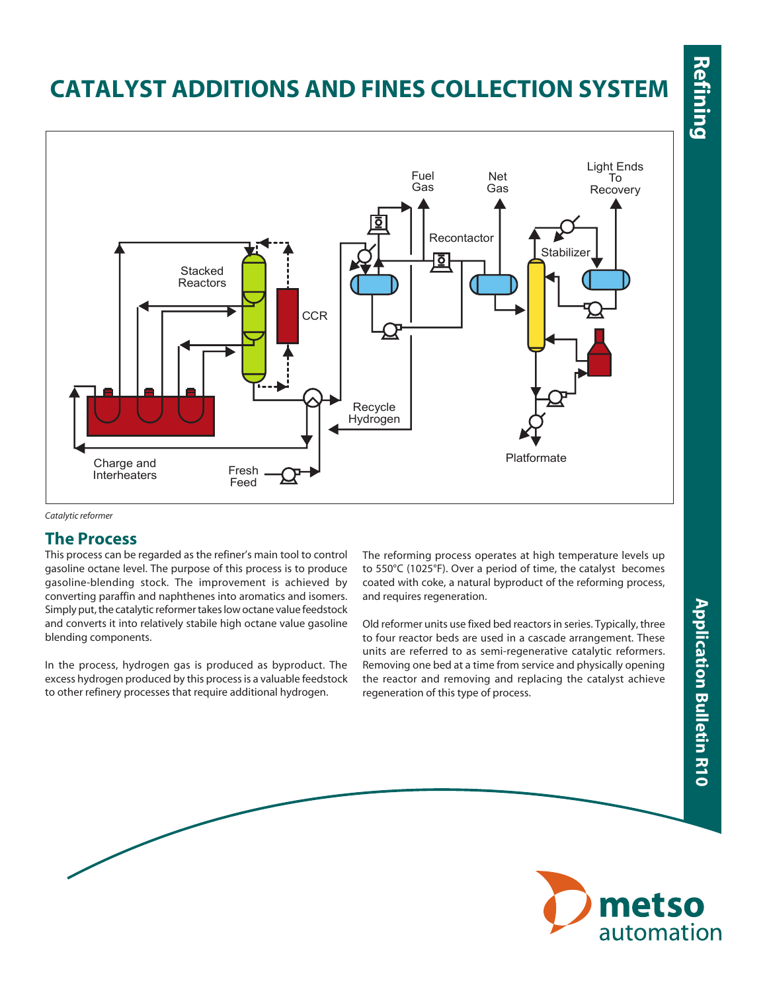# Refining

## **Catalyst Additions and FINES COLLECTION SYSTEM**



#### *Catalytic reformer*

#### **The Process**

This process can be regarded as the refiner's main tool to control gasoline octane level. The purpose of this process is to produce gasoline-blending stock. The improvement is achieved by converting paraffin and naphthenes into aromatics and isomers. Simply put, the catalytic reformer takes low octane value feedstock and converts it into relatively stabile high octane value gasoline blending components.

In the process, hydrogen gas is produced as byproduct. The excess hydrogen produced by this process is a valuable feedstock to other refinery processes that require additional hydrogen.

The reforming process operates at high temperature levels up to 550°C (1025°F). Over a period of time, the catalyst becomes coated with coke, a natural byproduct of the reforming process, and requires regeneration.

Old reformer units use fixed bed reactors in series. Typically, three to four reactor beds are used in a cascade arrangement. These units are referred to as semi-regenerative catalytic reformers. Removing one bed at a time from service and physically opening the reactor and removing and replacing the catalyst achieve regeneration of this type of process.

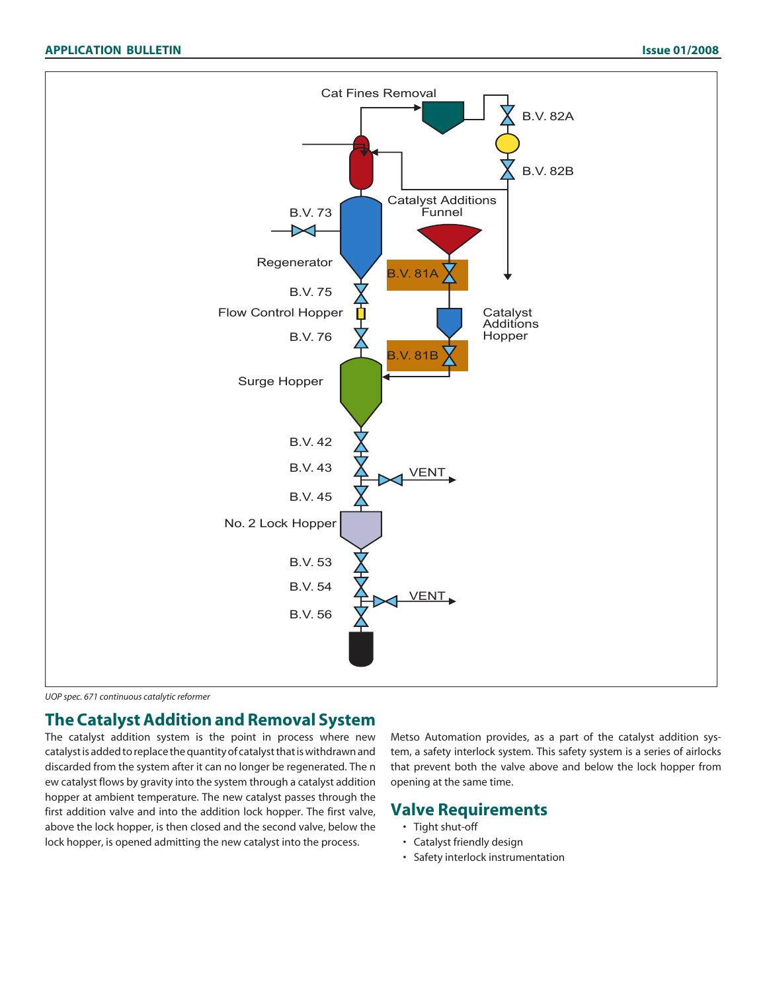

*UOP spec. 671 continuous catalytic reformer*

#### **The Catalyst Addition and Removal System**

The catalyst addition system is the point in process where new catalyst is added to replace the quantity of catalyst that is withdrawn and discarded from the system after it can no longer be regenerated. The n ew catalyst flows by gravity into the system through a catalyst addition hopper at ambient temperature. The new catalyst passes through the first addition valve and into the addition lock hopper. The first valve, above the lock hopper, is then closed and the second valve, below the lock hopper, is opened admitting the new catalyst into the process.

Metso Automation provides, as a part of the catalyst addition system, a safety interlock system. This safety system is a series of airlocks that prevent both the valve above and below the lock hopper from opening at the same time.

#### **Valve Requirements**

- Tight shut-off
- Catalyst friendly design
- Safety interlock instrumentation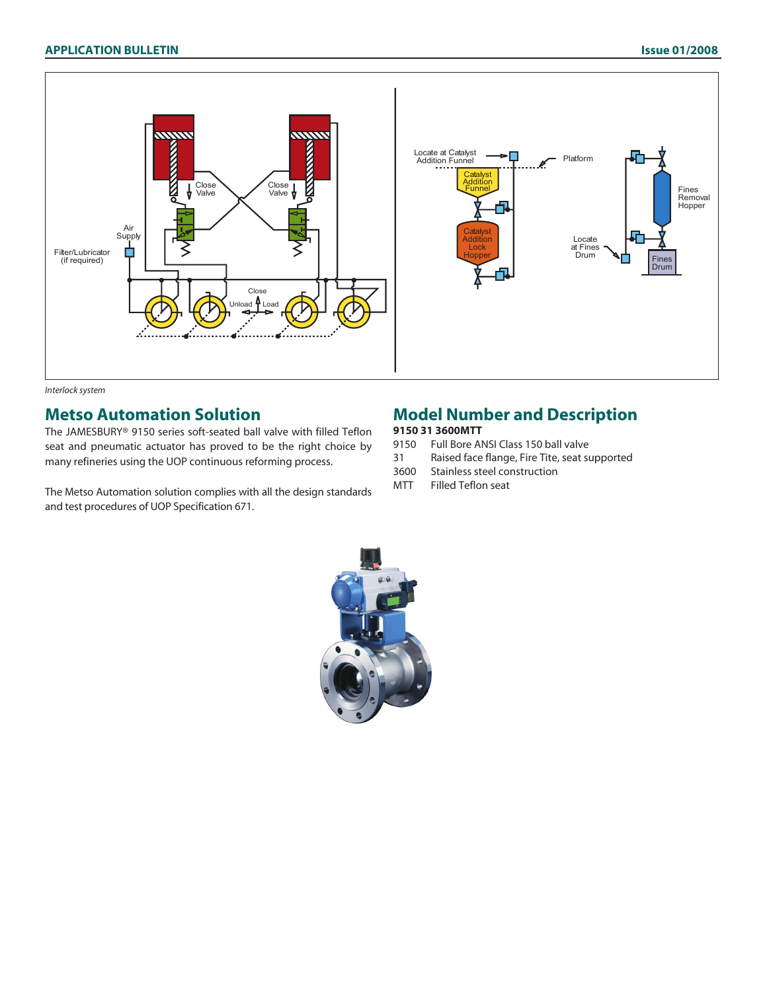

#### *Interlock system*

#### **Metso Automation Solution**

The JAMESBURY® 9150 series soft-seated ball valve with filled Teflon seat and pneumatic actuator has proved to be the right choice by many refineries using the UOP continuous reforming process.

The Metso Automation solution complies with all the design standards and test procedures of UOP Specification 671.

#### **Model Number and Description**

### **9150 31 3600MTT**<br>9150 Full Bore At

- 9150 Full Bore ANSI Class 150 ball valve<br>31 Raised face flange, Fire Tite, seat su
- Raised face flange, Fire Tite, seat supported
- 3600 Stainless steel construction
- MTT Filled Teflon seat